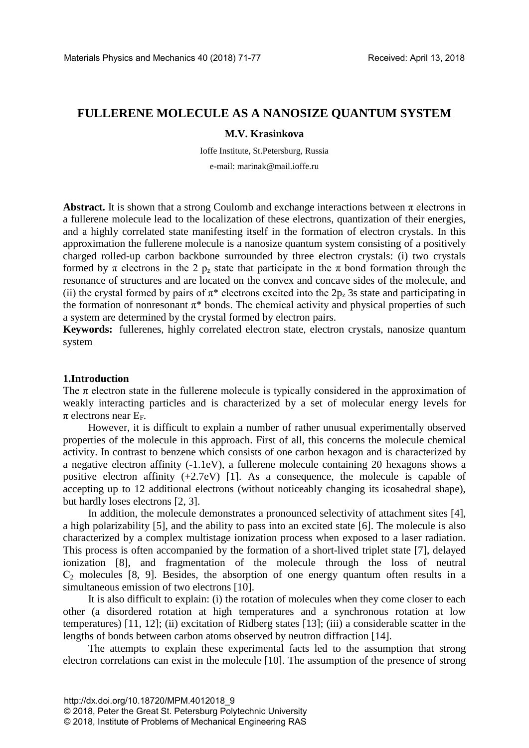# **FULLERENE MOLECULE AS A NANOSIZE QUANTUM SYSTEM**

# **M.V. Krasinkova**

Ioffe Institute, St.Petersburg, Russia e-mail: marinak@mail.ioffe.ru

**Abstract.** It is shown that a strong Coulomb and exchange interactions between  $\pi$  electrons in a fullerene molecule lead to the localization of these electrons, quantization of their energies, and a highly correlated state manifesting itself in the formation of electron crystals. In this approximation the fullerene molecule is a nanosize quantum system consisting of a positively charged rolled-up carbon backbone surrounded by three electron crystals: (i) two crystals formed by  $\pi$  electrons in the 2 p<sub>z</sub> state that participate in the  $\pi$  bond formation through the resonance of structures and are located on the convex and concave sides of the molecule, and (ii) the crystal formed by pairs of  $\pi^*$  electrons excited into the 2p<sub>z</sub> 3s state and participating in the formation of nonresonant  $\pi^*$  bonds. The chemical activity and physical properties of such a system are determined by the crystal formed by electron pairs.

**Keywords:** fullerenes, highly correlated electron state, electron crystals, nanosize quantum system

## **1.Introduction**

The  $\pi$  electron state in the fullerene molecule is typically considered in the approximation of weakly interacting particles and is characterized by a set of molecular energy levels for  $\pi$  electrons near  $E_F$ .

However, it is difficult to explain a number of rather unusual experimentally observed properties of the molecule in this approach. First of all, this concerns the molecule chemical activity. In contrast to benzene which consists of one carbon hexagon and is characterized by a negative electron affinity (-1.1eV), a fullerene molecule containing 20 hexagons shows a positive electron affinity (+2.7eV) [1]. As a consequence, the molecule is capable of accepting up to 12 additional electrons (without noticeably changing its icosahedral shape), but hardly loses electrons [2, 3].

In addition, the molecule demonstrates a pronounced selectivity of attachment sites [4], a high polarizability [5], and the ability to pass into an excited state [6]. The molecule is also characterized by a complex multistage ionization process when exposed to a laser radiation. This process is often accompanied by the formation of a short-lived triplet state [7], delayed ionization [8], and fragmentation of the molecule through the loss of neutral  $C_2$  molecules [8, 9]. Besides, the absorption of one energy quantum often results in a simultaneous emission of two electrons [10].

It is also difficult to explain: (i) the rotation of molecules when they come closer to each other (a disordered rotation at high temperatures and a synchronous rotation at low temperatures) [11, 12]; (ii) excitation of Ridberg states [13]; (iii) a considerable scatter in the lengths of bonds between carbon atoms observed by neutron diffraction [14].

The attempts to explain these experimental facts led to the assumption that strong electron correlations can exist in the molecule [10]. The assumption of the presence of strong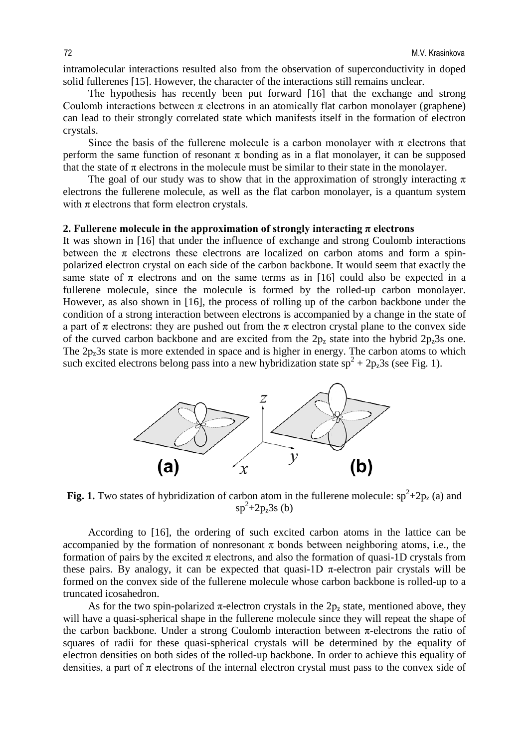intramolecular interactions resulted also from the observation of superconductivity in doped solid fullerenes [15]. However, the character of the interactions still remains unclear.

The hypothesis has recently been put forward [16] that the exchange and strong Coulomb interactions between  $\pi$  electrons in an atomically flat carbon monolayer (graphene) can lead to their strongly correlated state which manifests itself in the formation of electron crystals.

Since the basis of the fullerene molecule is a carbon monolayer with  $\pi$  electrons that perform the same function of resonant  $\pi$  bonding as in a flat monolayer, it can be supposed that the state of  $\pi$  electrons in the molecule must be similar to their state in the monolayer.

The goal of our study was to show that in the approximation of strongly interacting  $\pi$ electrons the fullerene molecule, as well as the flat carbon monolayer, is a quantum system with  $\pi$  electrons that form electron crystals.

## **2. Fullerene molecule in the approximation of strongly interacting**  $\pi$  **electrons**

It was shown in [16] that under the influence of exchange and strong Coulomb interactions between the  $\pi$  electrons these electrons are localized on carbon atoms and form a spinpolarized electron crystal on each side of the carbon backbone. It would seem that exactly the same state of  $\pi$  electrons and on the same terms as in [16] could also be expected in a fullerene molecule, since the molecule is formed by the rolled-up carbon monolayer. However, as also shown in [16], the process of rolling up of the carbon backbone under the condition of a strong interaction between electrons is accompanied by a change in the state of a part of  $\pi$  electrons: they are pushed out from the  $\pi$  electron crystal plane to the convex side of the curved carbon backbone and are excited from the  $2p_z$  state into the hybrid  $2p_z$ 3s one. The  $2p<sub>z</sub>3s$  state is more extended in space and is higher in energy. The carbon atoms to which such excited electrons belong pass into a new hybridization state  $sp^2 + 2p_z 3s$  (see Fig. 1).



**Fig. 1.** Two states of hybridization of carbon atom in the fullerene molecule:  $sp^2+2p_z$  (a) and  $sp^2+2p_z3s$  (b)

According to [16], the ordering of such excited carbon atoms in the lattice can be accompanied by the formation of nonresonant  $\pi$  bonds between neighboring atoms, i.e., the formation of pairs by the excited  $\pi$  electrons, and also the formation of quasi-1D crystals from these pairs. By analogy, it can be expected that quasi-1D  $\pi$ -electron pair crystals will be formed on the convex side of the fullerene molecule whose carbon backbone is rolled-up to a truncated icosahedron.

As for the two spin-polarized  $\pi$ -electron crystals in the 2 $p_z$  state, mentioned above, they will have a quasi-spherical shape in the fullerene molecule since they will repeat the shape of the carbon backbone. Under a strong Coulomb interaction between  $\pi$ -electrons the ratio of squares of radii for these quasi-spherical crystals will be determined by the equality of electron densities on both sides of the rolled-up backbone. In order to achieve this equality of densities, a part of  $\pi$  electrons of the internal electron crystal must pass to the convex side of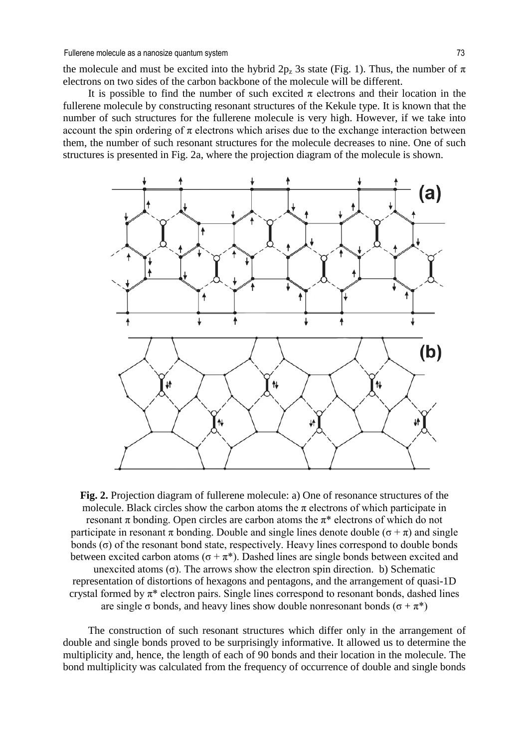the molecule and must be excited into the hybrid  $2p_z$  3s state (Fig. 1). Thus, the number of  $\pi$ electrons on two sides of the carbon backbone of the molecule will be different.

It is possible to find the number of such excited  $\pi$  electrons and their location in the fullerene molecule by constructing resonant structures of the Kekule type. It is known that the number of such structures for the fullerene molecule is very high. However, if we take into account the spin ordering of  $\pi$  electrons which arises due to the exchange interaction between them, the number of such resonant structures for the molecule decreases to nine. One of such structures is presented in Fig. 2a, where the projection diagram of the molecule is shown.



**Fig. 2.** Projection diagram of fullerene molecule: a) One of resonance structures of the molecule. Black circles show the carbon atoms the  $\pi$  electrons of which participate in resonant  $\pi$  bonding. Open circles are carbon atoms the  $\pi^*$  electrons of which do not participate in resonant  $\pi$  bonding. Double and single lines denote double ( $\sigma + \pi$ ) and single bonds  $(σ)$  of the resonant bond state, respectively. Heavy lines correspond to double bonds between excited carbon atoms ( $\sigma + \pi^*$ ). Dashed lines are single bonds between excited and unexcited atoms  $(\sigma)$ . The arrows show the electron spin direction. b) Schematic representation of distortions of hexagons and pentagons, and the arrangement of quasi-1D crystal formed by  $\pi^*$  electron pairs. Single lines correspond to resonant bonds, dashed lines are single  $\sigma$  bonds, and heavy lines show double nonresonant bonds ( $\sigma + \pi^*$ )

The construction of such resonant structures which differ only in the arrangement of double and single bonds proved to be surprisingly informative. It allowed us to determine the multiplicity and, hence, the length of each of 90 bonds and their location in the molecule. The bond multiplicity was calculated from the frequency of occurrence of double and single bonds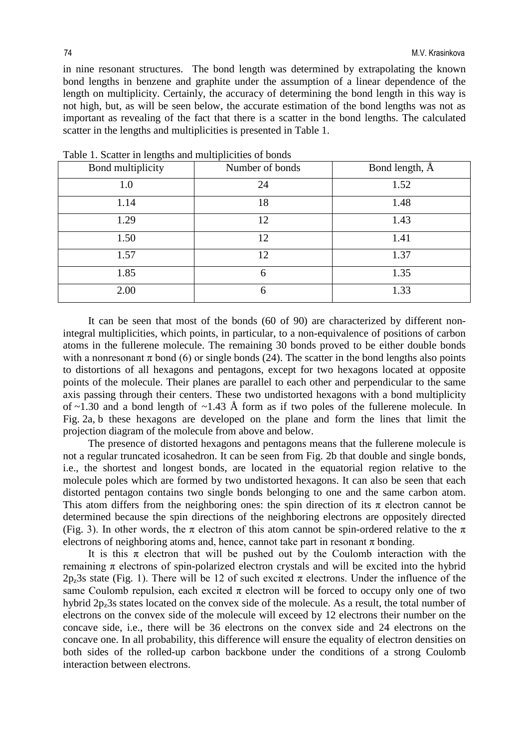in nine resonant structures. The bond length was determined by extrapolating the known bond lengths in benzene and graphite under the assumption of a linear dependence of the length on multiplicity. Certainly, the accuracy of determining the bond length in this way is not high, but, as will be seen below, the accurate estimation of the bond lengths was not as important as revealing of the fact that there is a scatter in the bond lengths. The calculated scatter in the lengths and multiplicities is presented in Table 1.

| Bond multiplicity | Number of bonds | Bond length, $\AA$ |
|-------------------|-----------------|--------------------|
| 1.0               | 24              | 1.52               |
| 1.14              | 18              | 1.48               |
| 1.29              | 12              | 1.43               |
| 1.50              | 12              | 1.41               |
| 1.57              | 12              | 1.37               |
| 1.85              | 6               | 1.35               |
| 2.00              | 6               | 1.33               |

Table 1. Scatter in lengths and multiplicities of bonds

It can be seen that most of the bonds (60 of 90) are characterized by different nonintegral multiplicities, which points, in particular, to a non-equivalence of positions of carbon atoms in the fullerene molecule. The remaining 30 bonds proved to be either double bonds with a nonresonant  $\pi$  bond (6) or single bonds (24). The scatter in the bond lengths also points to distortions of all hexagons and pentagons, except for two hexagons located at opposite points of the molecule. Their planes are parallel to each other and perpendicular to the same axis passing through their centers. These two undistorted hexagons with a bond multiplicity of  $\sim$ 1.30 and a bond length of  $\sim$ 1.43 Å form as if two poles of the fullerene molecule. In Fig. 2a, b these hexagons are developed on the plane and form the lines that limit the projection diagram of the molecule from above and below.

The presence of distorted hexagons and pentagons means that the fullerene molecule is not a regular truncated icosahedron. It can be seen from Fig. 2b that double and single bonds, i.e., the shortest and longest bonds, are located in the equatorial region relative to the molecule poles which are formed by two undistorted hexagons. It can also be seen that each distorted pentagon contains two single bonds belonging to one and the same carbon atom. This atom differs from the neighboring ones: the spin direction of its  $\pi$  electron cannot be determined because the spin directions of the neighboring electrons are oppositely directed (Fig. 3). In other words, the  $\pi$  electron of this atom cannot be spin-ordered relative to the  $\pi$ electrons of neighboring atoms and, hence, cannot take part in resonant  $\pi$  bonding.

It is this  $\pi$  electron that will be pushed out by the Coulomb interaction with the remaining  $\pi$  electrons of spin-polarized electron crystals and will be excited into the hybrid 2p<sub>z</sub>3s state (Fig. 1). There will be 12 of such excited  $\pi$  electrons. Under the influence of the same Coulomb repulsion, each excited  $\pi$  electron will be forced to occupy only one of two hybrid 2p<sub>z</sub>3s states located on the convex side of the molecule. As a result, the total number of electrons on the convex side of the molecule will exceed by 12 electrons their number on the concave side, i.e., there will be 36 electrons on the convex side and 24 electrons on the concave one. In all probability, this difference will ensure the equality of electron densities on both sides of the rolled-up carbon backbone under the conditions of a strong Coulomb interaction between electrons.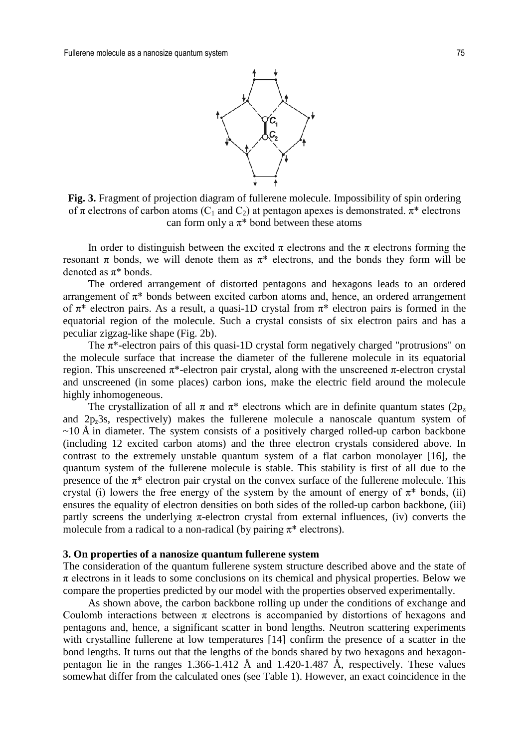

**Fig. 3.** Fragment of projection diagram of fullerene molecule. Impossibility of spin ordering of  $\pi$  electrons of carbon atoms (C<sub>1</sub> and C<sub>2</sub>) at pentagon apexes is demonstrated.  $\pi^*$  electrons can form only a  $\pi^*$  bond between these atoms

In order to distinguish between the excited  $\pi$  electrons and the  $\pi$  electrons forming the resonant  $\pi$  bonds, we will denote them as  $\pi^*$  electrons, and the bonds they form will be denoted as  $\pi^*$  bonds.

The ordered arrangement of distorted pentagons and hexagons leads to an ordered arrangement of  $\pi^*$  bonds between excited carbon atoms and, hence, an ordered arrangement of  $\pi^*$  electron pairs. As a result, a quasi-1D crystal from  $\pi^*$  electron pairs is formed in the equatorial region of the molecule. Such a crystal consists of six electron pairs and has a peculiar zigzag-like shape (Fig. 2b).

The  $\pi^*$ -electron pairs of this quasi-1D crystal form negatively charged "protrusions" on the molecule surface that increase the diameter of the fullerene molecule in its equatorial region. This unscreened  $π^*$ -electron pair crystal, along with the unscreened  $π$ -electron crystal and unscreened (in some places) carbon ions, make the electric field around the molecule highly inhomogeneous.

The crystallization of all  $\pi$  and  $\pi^*$  electrons which are in definite quantum states (2p<sub>z</sub>) and  $2p<sub>z</sub>3s$ , respectively) makes the fullerene molecule a nanoscale quantum system of  $\sim$ 10 Å in diameter. The system consists of a positively charged rolled-up carbon backbone (including 12 excited carbon atoms) and the three electron crystals considered above. In contrast to the extremely unstable quantum system of a flat carbon monolayer [16], the quantum system of the fullerene molecule is stable. This stability is first of all due to the presence of the  $\pi^*$  electron pair crystal on the convex surface of the fullerene molecule. This crystal (i) lowers the free energy of the system by the amount of energy of  $\pi^*$  bonds, (ii) ensures the equality of electron densities on both sides of the rolled-up carbon backbone, (iii) partly screens the underlying  $\pi$ -electron crystal from external influences, (iv) converts the molecule from a radical to a non-radical (by pairing  $\pi^*$  electrons).

#### **3. On properties of a nanosize quantum fullerene system**

The consideration of the quantum fullerene system structure described above and the state of  $\pi$  electrons in it leads to some conclusions on its chemical and physical properties. Below we compare the properties predicted by our model with the properties observed experimentally.

As shown above, the carbon backbone rolling up under the conditions of exchange and Coulomb interactions between  $\pi$  electrons is accompanied by distortions of hexagons and pentagons and, hence, a significant scatter in bond lengths. Neutron scattering experiments with crystalline fullerene at low temperatures [14] confirm the presence of a scatter in the bond lengths. It turns out that the lengths of the bonds shared by two hexagons and hexagonpentagon lie in the ranges  $1.366 - 1.412$  Å and  $1.420 - 1.487$  Å, respectively. These values somewhat differ from the calculated ones (see Table 1). However, an exact coincidence in the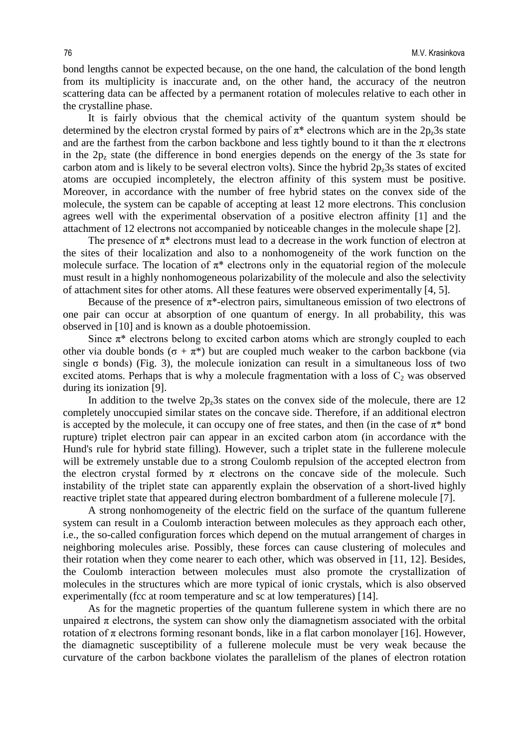bond lengths cannot be expected because, on the one hand, the calculation of the bond length from its multiplicity is inaccurate and, on the other hand, the accuracy of the neutron scattering data can be affected by a permanent rotation of molecules relative to each other in the crystalline phase.

It is fairly obvious that the chemical activity of the quantum system should be determined by the electron crystal formed by pairs of  $\pi^*$  electrons which are in the 2p<sub>z</sub>3s state and are the farthest from the carbon backbone and less tightly bound to it than the  $\pi$  electrons in the  $2p<sub>z</sub>$  state (the difference in bond energies depends on the energy of the 3s state for carbon atom and is likely to be several electron volts). Since the hybrid  $2p_z3s$  states of excited atoms are occupied incompletely, the electron affinity of this system must be positive. Moreover, in accordance with the number of free hybrid states on the convex side of the molecule, the system can be capable of accepting at least 12 more electrons. This conclusion agrees well with the experimental observation of a positive electron affinity [1] and the attachment of 12 electrons not accompanied by noticeable changes in the molecule shape [2].

The presence of  $\pi^*$  electrons must lead to a decrease in the work function of electron at the sites of their localization and also to a nonhomogeneity of the work function on the molecule surface. The location of  $\pi^*$  electrons only in the equatorial region of the molecule must result in a highly nonhomogeneous polarizability of the molecule and also the selectivity of attachment sites for other atoms. All these features were observed experimentally [4, 5].

Because of the presence of  $\pi^*$ -electron pairs, simultaneous emission of two electrons of one pair can occur at absorption of one quantum of energy. In all probability, this was observed in [10] and is known as a double photoemission.

Since  $\pi^*$  electrons belong to excited carbon atoms which are strongly coupled to each other via double bonds ( $\sigma + \pi^*$ ) but are coupled much weaker to the carbon backbone (via single  $\sigma$  bonds) (Fig. 3), the molecule ionization can result in a simultaneous loss of two excited atoms. Perhaps that is why a molecule fragmentation with a loss of  $C_2$  was observed during its ionization [9].

In addition to the twelve  $2p<sub>z</sub>3s$  states on the convex side of the molecule, there are 12 completely unoccupied similar states on the concave side. Therefore, if an additional electron is accepted by the molecule, it can occupy one of free states, and then (in the case of  $\pi^*$  bond rupture) triplet electron pair can appear in an excited carbon atom (in accordance with the Hund's rule for hybrid state filling). However, such a triplet state in the fullerene molecule will be extremely unstable due to a strong Coulomb repulsion of the accepted electron from the electron crystal formed by  $\pi$  electrons on the concave side of the molecule. Such instability of the triplet state can apparently explain the observation of a short-lived highly reactive triplet state that appeared during electron bombardment of a fullerene molecule [7].

A strong nonhomogeneity of the electric field on the surface of the quantum fullerene system can result in a Coulomb interaction between molecules as they approach each other, i.e., the so-called configuration forces which depend on the mutual arrangement of charges in neighboring molecules arise. Possibly, these forces can cause clustering of molecules and their rotation when they come nearer to each other, which was observed in [11, 12]. Besides, the Coulomb interaction between molecules must also promote the crystallization of molecules in the structures which are more typical of ionic crystals, which is also observed experimentally (fcc at room temperature and sc at low temperatures) [14].

As for the magnetic properties of the quantum fullerene system in which there are no unpaired  $\pi$  electrons, the system can show only the diamagnetism associated with the orbital rotation of π electrons forming resonant bonds, like in a flat carbon monolayer [16]. However, the diamagnetic susceptibility of a fullerene molecule must be very weak because the curvature of the carbon backbone violates the parallelism of the planes of electron rotation